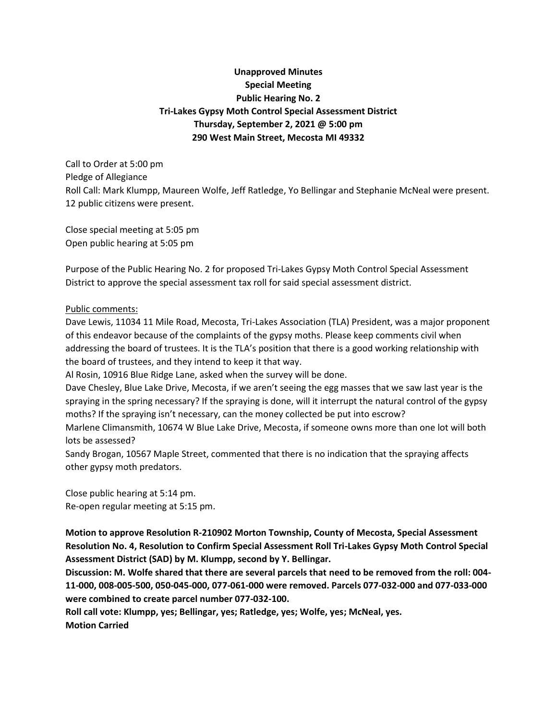## **Unapproved Minutes Special Meeting Public Hearing No. 2 Tri-Lakes Gypsy Moth Control Special Assessment District Thursday, September 2, 2021 @ 5:00 pm 290 West Main Street, Mecosta MI 49332**

Call to Order at 5:00 pm Pledge of Allegiance Roll Call: Mark Klumpp, Maureen Wolfe, Jeff Ratledge, Yo Bellingar and Stephanie McNeal were present. 12 public citizens were present.

Close special meeting at 5:05 pm Open public hearing at 5:05 pm

Purpose of the Public Hearing No. 2 for proposed Tri-Lakes Gypsy Moth Control Special Assessment District to approve the special assessment tax roll for said special assessment district.

## Public comments:

Dave Lewis, 11034 11 Mile Road, Mecosta, Tri-Lakes Association (TLA) President, was a major proponent of this endeavor because of the complaints of the gypsy moths. Please keep comments civil when addressing the board of trustees. It is the TLA's position that there is a good working relationship with the board of trustees, and they intend to keep it that way.

Al Rosin, 10916 Blue Ridge Lane, asked when the survey will be done.

Dave Chesley, Blue Lake Drive, Mecosta, if we aren't seeing the egg masses that we saw last year is the spraying in the spring necessary? If the spraying is done, will it interrupt the natural control of the gypsy moths? If the spraying isn't necessary, can the money collected be put into escrow?

Marlene Climansmith, 10674 W Blue Lake Drive, Mecosta, if someone owns more than one lot will both lots be assessed?

Sandy Brogan, 10567 Maple Street, commented that there is no indication that the spraying affects other gypsy moth predators.

Close public hearing at 5:14 pm. Re-open regular meeting at 5:15 pm.

**Motion to approve Resolution R-210902 Morton Township, County of Mecosta, Special Assessment Resolution No. 4, Resolution to Confirm Special Assessment Roll Tri-Lakes Gypsy Moth Control Special Assessment District (SAD) by M. Klumpp, second by Y. Bellingar.**

**Discussion: M. Wolfe shared that there are several parcels that need to be removed from the roll: 004- 11-000, 008-005-500, 050-045-000, 077-061-000 were removed. Parcels 077-032-000 and 077-033-000 were combined to create parcel number 077-032-100.**

**Roll call vote: Klumpp, yes; Bellingar, yes; Ratledge, yes; Wolfe, yes; McNeal, yes.**

**Motion Carried**